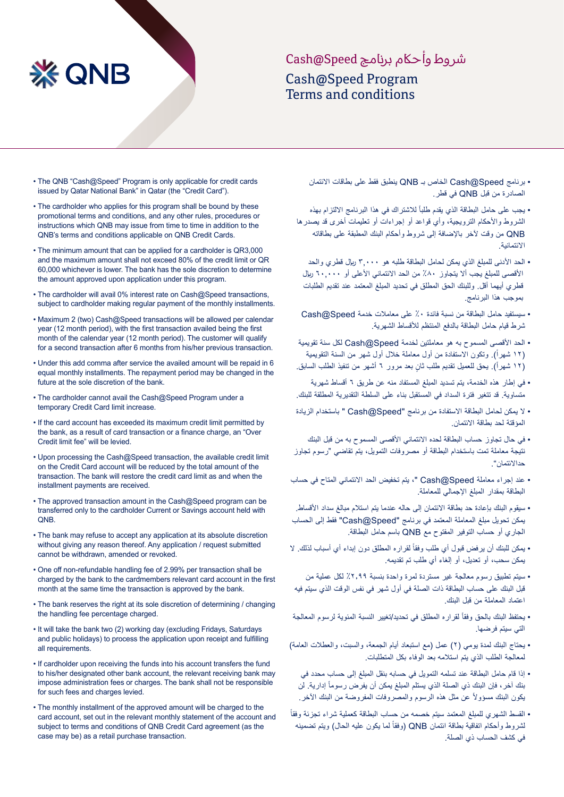## شر وط وأحاكم برنامج Speed@Cash Cash@Speed Program Terms and conditions

• The QNB "Cash@Speed" Program is only applicable for credit cards issued by Qatar National Bank" in Qatar (the "Credit Card").

**※ QNB** 

- The cardholder who applies for this program shall be bound by these promotional terms and conditions, and any other rules, procedures or instructions which QNB may issue from time to time in addition to the QNB's terms and conditions applicable on QNB Credit Cards.
- The minimum amount that can be applied for a cardholder is QR3,000 and the maximum amount shall not exceed 80% of the credit limit or QR 60,000 whichever is lower. The hank has the sole discretion to determine the amount approved upon application under this program.
- The cardholder will avail 0% interest rate on Cash@Speed transactions, subject to cardholder making regular payment of the monthly installments.
- Maximum 2 (two) Cash@Speed transactions will be allowed per calendar year (12 month period), with the first transaction availed being the first month of the calendar year (12 month period). The customer will qualify for a second transaction after 6 months from his/her previous transaction.
- Under this add comma after service the availed amount will be repaid in 6 equal monthly installments. The repayment period may be changed in the future at the sole discretion of the bank.
- The cardholder cannot avail the Cash@Speed Program under a temporary Credit Card limit increase.
- If the card account has exceeded its maximum credit limit permitted by the bank, as a result of card transaction or a finance charge, an "Over Credit limit fee" will be levied.
- Upon processing the Cash@Speed transaction, the available credit limit on the Credit Card account will be reduced by the total amount of the transaction. The bank will restore the credit card limit as and when the installment payments are received.
- The approved transaction amount in the Cash@Speed program can be transferred only to the cardholder Current or Savings account held with .QNB
- The bank may refuse to accept any application at its absolute discretion without giving any reason thereof. Any application / request submitted cannot be withdrawn, amended or revoked.
- One off non-refundable handling fee of 2.99% per transaction shall be charged by the bank to the cardmembers relevant card account in the first month at the same time the transaction is approved by the bank.
- The bank reserves the right at its sole discretion of determining / changing the handling fee percentage charged.
- It will take the bank two (2) working day (excluding Fridays, Saturdays and public holidays) to process the application upon receipt and fulfilling all requirements.
- If cardholder upon receiving the funds into his account transfers the fund to his/her designated other bank account, the relevant receiving bank may impose administration fees or charges. The bank shall not be responsible for such fees and charges levied.
- The monthly installment of the approved amount will be charged to the card account, set out in the relevant monthly statement of the account and subject to terms and conditions of QNB Credit Card agreement (as the case may be) as a retail purchase transaction.
- برنامج Speed@Cash الخاص بـ QNB ينطبق فقط على بطاقات االئتمان الصادرة من قبل QNB في قطر.
- يجب على حامل البطاقة الذي يقدم طلباً للاشتراك في هذا البرنامج الالتزام بهذه الشروط واألحكام الترويجية، وأي قواعد أو إجراءات أو تعليمات أخرى قد يصدرها QNB من وقت آلخر باإلضافة إلى شروط وأحكام البنك المطبقة على بطاقاته االئتمانية.
	- الحد األدنى للمبلغ الذي يمكن لحامل البطاقة طلبه هو 3,000 لاير قطري والحد الأقصىي للمبلغ يجب ألا يتجاوز ٨٠٪ من الحد الائتماني الأعلى أو ٦٠,٠٠٠ ريال قطري أيهما أقل. وللبنك الحق المطلق في تحديد المبلغ المعتمد عند تقديم الطلبات بموجب هذا البرنامج.
	- سيستفيد حامل البطاقة من نسبة فائدة %0 على معامالت خدمة Speed@Cash شرط قيام حامل البطاقة بالدفع المنتظم لألقساط الشهرية.
- الحد األقصى المسموح به هو معاملتين لخدمة Speed@Cash لكل سنة تقويمية (١٢ شهراً). وتكون الاستفادة من أول معاملة خلال أول شهر من السنة التقويمية (١٢ شهراً). يحق للعميل تقديم طلب ثانٍ بعد مرور ٦ أشهر من تنفيذ الطلب السابق.
- في إطار هذه الخدمة، يتم تسديد المبلغ المستفاد منه عن طريق 6 أقساط شهرية متساوية. قد تتغير فترة السداد في المستقبل بناء على السلطة التقديرية المطلقة للبنك.
- ال يمكن لحامل البطاقة االستفادة من برنامج "Speed@Cash " باستخدام الزيادة المؤقتة لحد بطاقة االئتمان.
- في حال تجاوز حساب البطاقة لحده االئتماني األقصى المسموح به من قبل البنك نتيجة معاملة تمت باستخدام البطاقة أو مصروفات التمويل، يتم تقاضي "رسوم تجاوز حداالئتمان".
- عند إجراء معاملة Speed@Cash" ، يتم تخفيض الحد االئتماني المتاح في حساب البطاقة بمقدار المبلغ اإلجمالي للمعاملة.
- سيقوم البنك بإعادة حد بطاقة االئتمان إلى حاله عندما يتم استالم مبالغ سداد األقساط. يمكن تحويل مبلغ المعاملة المعتمد في برنامج "Speed@Cash "فقط إلى الحساب الجاري أو حساب التوفير المفتوح مع QNB باسم حامل البطاقة.
- يمكن للبنك أن يرفض قبول أي طلب وفقاً لقراره المطلق دون إبداء أي أسباب لذلك. لا يمكن سحب، أو تعديل، أو إلغاء أي طلب تم تقديمه.
- سيتم تطبيق رسوم معالجة غير مستردة لمرة واحدة بنسبة %2.99 لكل عملية من قبل البنك على حساب البطاقة ذات الصلة في أول شهر في نفس الوقت الذي سيتم فيه اعتماد المعاملة من قبل البنك.
- يحتفظ البنك بالحق وفقاً لقراره المطلق في تحديد/تغيير النسبة المئوية لرسوم المعالجة التي سيتم فرضها.
- يحتاج البنك لمدة يومي (٢) عمل (مع استبعاد أيام الجمعة، والسبت، والعطلات العامة) لمعالجة الطلب الذي يتم استالمه بعد الوفاء بكل المتطلبات.
- إذا قام حامل البطاقة عند تسلمه التمويل في حسابه بنقل المبلغ إلى حساب محدد في بنك آخر ، فإن البنك ذي الصلة الذي يستلم المبلغ يمكن أن يفرض رسوماً إدارية. لن بكون البنك مسؤولأ عن مثل هذه الرسوم والمصروفات المفروضة من البنك الأخر ِ
- القسط الشهري للمبلغ المعتمد سيتم خصمه من حساب البطاقة كعملية شراء تجزئة وفقا نشروط وأحكام اتفاقية بطاقة انتمان QNB (وفقاً لما يكون عليه الحال) ويتم تضمينه في كشف الحساب ذي الصلة.